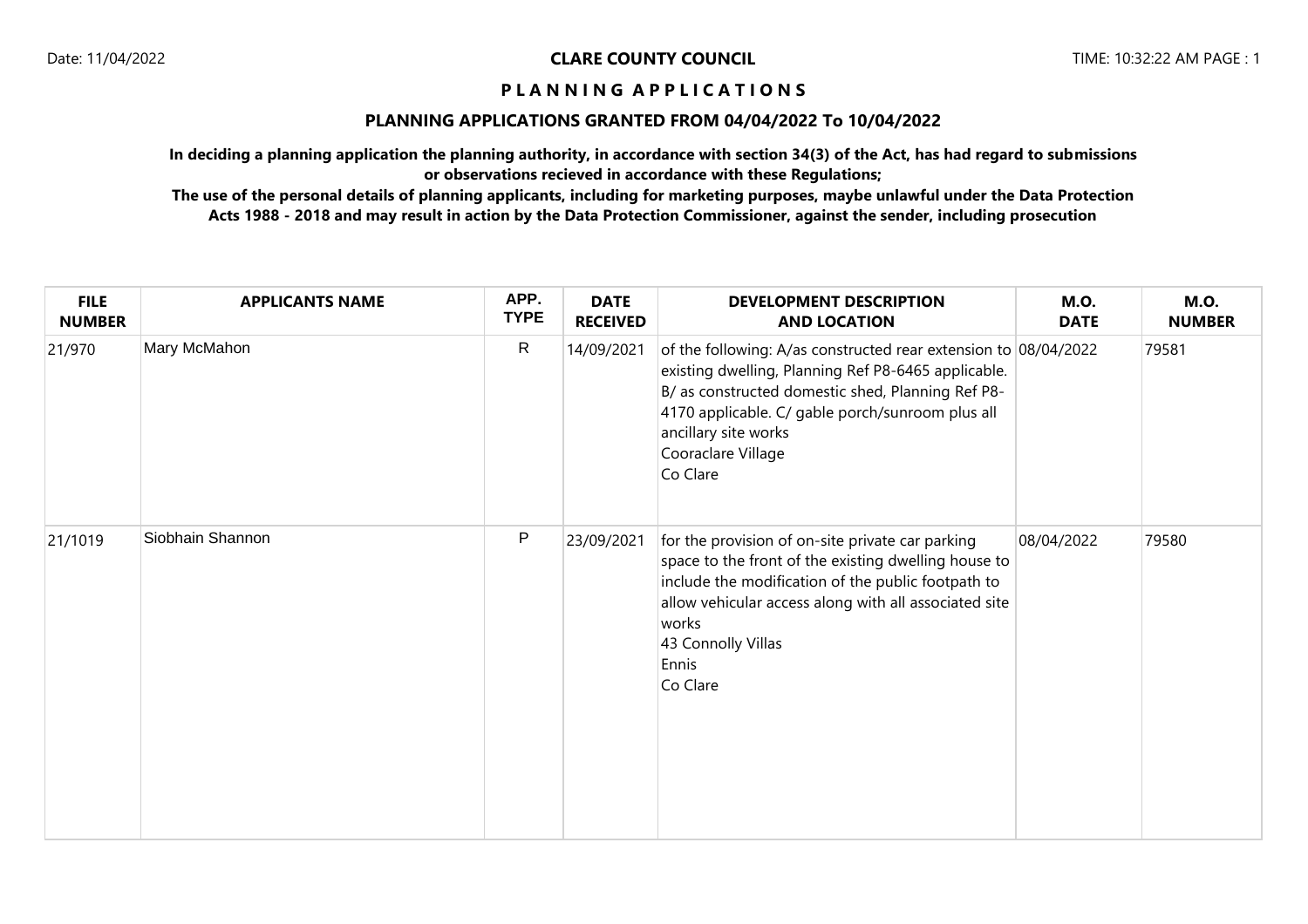## **PLANNING APPLICATIONS GRANTED FROM 04/04/2022 To 10/04/2022**

**In deciding a planning application the planning authority, in accordance with section 34(3) of the Act, has had regard to submissions or observations recieved in accordance with these Regulations;**

| <b>FILE</b><br><b>NUMBER</b> | <b>APPLICANTS NAME</b> | APP.<br><b>TYPE</b> | <b>DATE</b><br><b>RECEIVED</b> | <b>DEVELOPMENT DESCRIPTION</b><br><b>AND LOCATION</b>                                                                                                                                                                                                                                     | <b>M.O.</b><br><b>DATE</b> | <b>M.O.</b><br><b>NUMBER</b> |
|------------------------------|------------------------|---------------------|--------------------------------|-------------------------------------------------------------------------------------------------------------------------------------------------------------------------------------------------------------------------------------------------------------------------------------------|----------------------------|------------------------------|
| 21/970                       | Mary McMahon           | $\mathsf{R}$        | 14/09/2021                     | of the following: A/as constructed rear extension to 08/04/2022<br>existing dwelling, Planning Ref P8-6465 applicable.<br>B/ as constructed domestic shed, Planning Ref P8-<br>4170 applicable. C/ gable porch/sunroom plus all<br>ancillary site works<br>Cooraclare Village<br>Co Clare |                            | 79581                        |
| 21/1019                      | Siobhain Shannon       | P                   | 23/09/2021                     | for the provision of on-site private car parking<br>space to the front of the existing dwelling house to<br>include the modification of the public footpath to<br>allow vehicular access along with all associated site<br>works<br>43 Connolly Villas<br>Ennis<br>Co Clare               | 08/04/2022                 | 79580                        |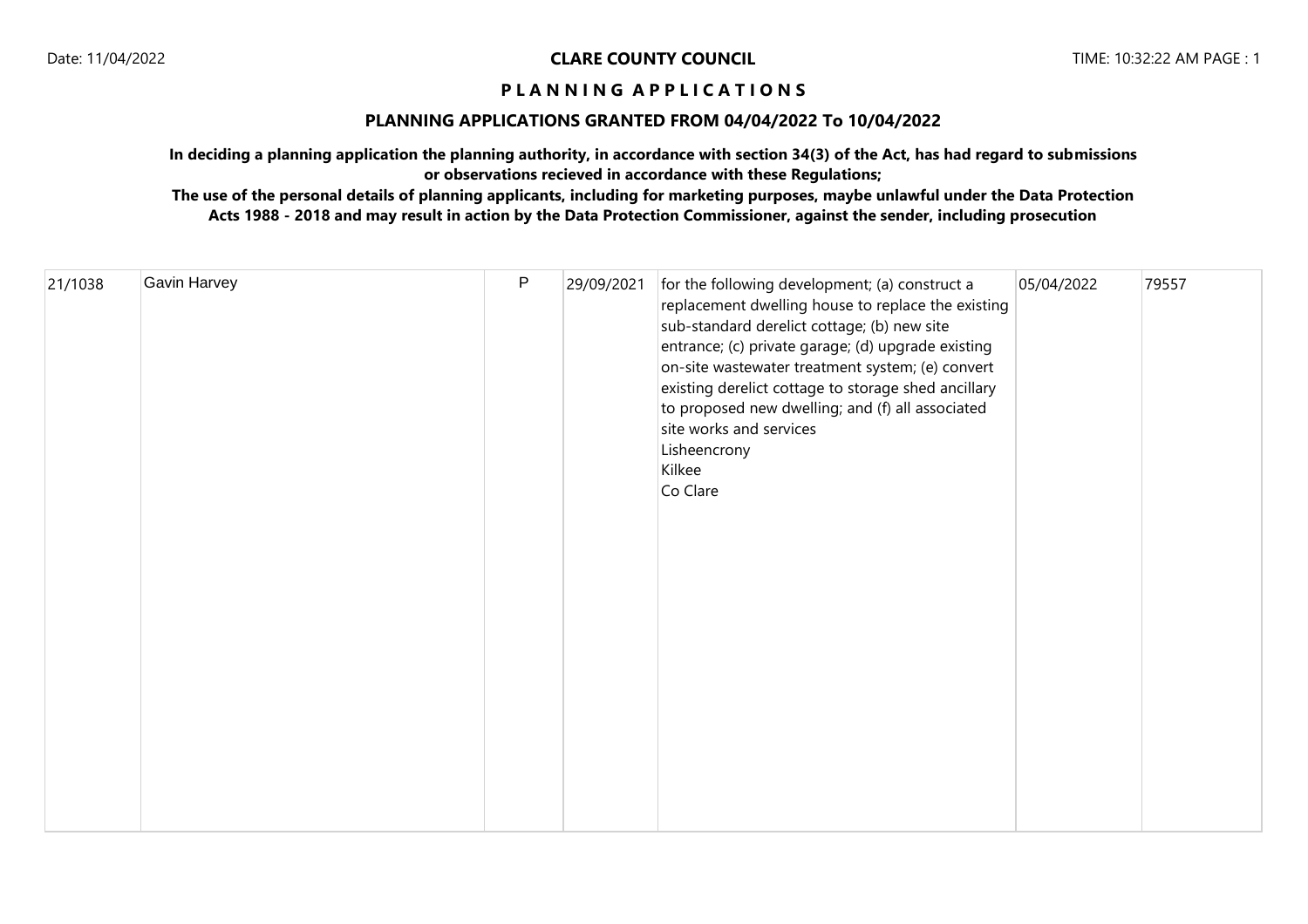## **PLANNING APPLICATIONS GRANTED FROM 04/04/2022 To 10/04/2022**

**In deciding a planning application the planning authority, in accordance with section 34(3) of the Act, has had regard to submissions or observations recieved in accordance with these Regulations;**

|  | 21/1038 | Gavin Harvey | $\mathsf P$ | 29/09/2021 | for the following development; (a) construct a<br>replacement dwelling house to replace the existing<br>sub-standard derelict cottage; (b) new site<br>entrance; (c) private garage; (d) upgrade existing<br>on-site wastewater treatment system; (e) convert<br>existing derelict cottage to storage shed ancillary<br>to proposed new dwelling; and (f) all associated<br>site works and services<br>Lisheencrony<br>Kilkee<br>Co Clare | 05/04/2022 | 79557 |
|--|---------|--------------|-------------|------------|-------------------------------------------------------------------------------------------------------------------------------------------------------------------------------------------------------------------------------------------------------------------------------------------------------------------------------------------------------------------------------------------------------------------------------------------|------------|-------|
|--|---------|--------------|-------------|------------|-------------------------------------------------------------------------------------------------------------------------------------------------------------------------------------------------------------------------------------------------------------------------------------------------------------------------------------------------------------------------------------------------------------------------------------------|------------|-------|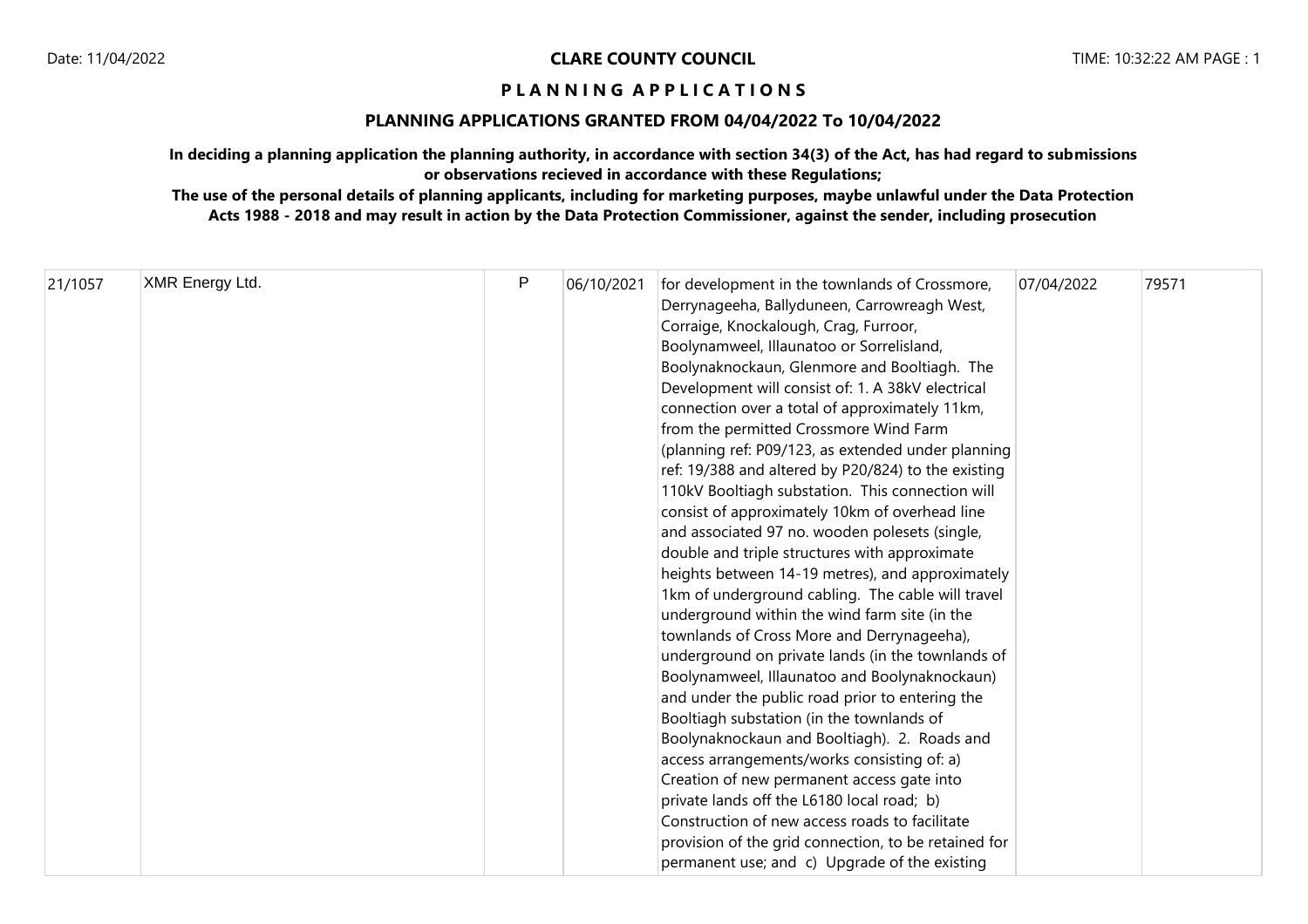# **PLANNING APPLICATIONS GRANTED FROM 04/04/2022 To 10/04/2022**

**In deciding a planning application the planning authority, in accordance with section 34(3) of the Act, has had regard to submissions or observations recieved in accordance with these Regulations;**

| 21/1057 | XMR Energy Ltd. | $\mathsf{P}$ | 06/10/2021 | for development in the townlands of Crossmore,<br>Derrynageeha, Ballyduneen, Carrowreagh West,<br>Corraige, Knockalough, Crag, Furroor,<br>Boolynamweel, Illaunatoo or Sorrelisland,<br>Boolynaknockaun, Glenmore and Booltiagh. The<br>Development will consist of: 1. A 38kV electrical<br>connection over a total of approximately 11km,<br>from the permitted Crossmore Wind Farm<br>(planning ref: P09/123, as extended under planning<br>ref: 19/388 and altered by P20/824) to the existing<br>110kV Booltiagh substation. This connection will<br>consist of approximately 10km of overhead line<br>and associated 97 no. wooden polesets (single,<br>double and triple structures with approximate<br>heights between 14-19 metres), and approximately<br>1km of underground cabling. The cable will travel<br>underground within the wind farm site (in the<br>townlands of Cross More and Derrynageeha),<br>underground on private lands (in the townlands of<br>Boolynamweel, Illaunatoo and Boolynaknockaun)<br>and under the public road prior to entering the<br>Booltiagh substation (in the townlands of<br>Boolynaknockaun and Booltiagh). 2. Roads and<br>access arrangements/works consisting of: a)<br>Creation of new permanent access gate into<br>private lands off the L6180 local road; b)<br>Construction of new access roads to facilitate | 07/04/2022 | 79571 |
|---------|-----------------|--------------|------------|------------------------------------------------------------------------------------------------------------------------------------------------------------------------------------------------------------------------------------------------------------------------------------------------------------------------------------------------------------------------------------------------------------------------------------------------------------------------------------------------------------------------------------------------------------------------------------------------------------------------------------------------------------------------------------------------------------------------------------------------------------------------------------------------------------------------------------------------------------------------------------------------------------------------------------------------------------------------------------------------------------------------------------------------------------------------------------------------------------------------------------------------------------------------------------------------------------------------------------------------------------------------------------------------------------------------------------------------------------------------|------------|-------|
|         |                 |              |            | provision of the grid connection, to be retained for<br>permanent use; and c) Upgrade of the existing                                                                                                                                                                                                                                                                                                                                                                                                                                                                                                                                                                                                                                                                                                                                                                                                                                                                                                                                                                                                                                                                                                                                                                                                                                                                  |            |       |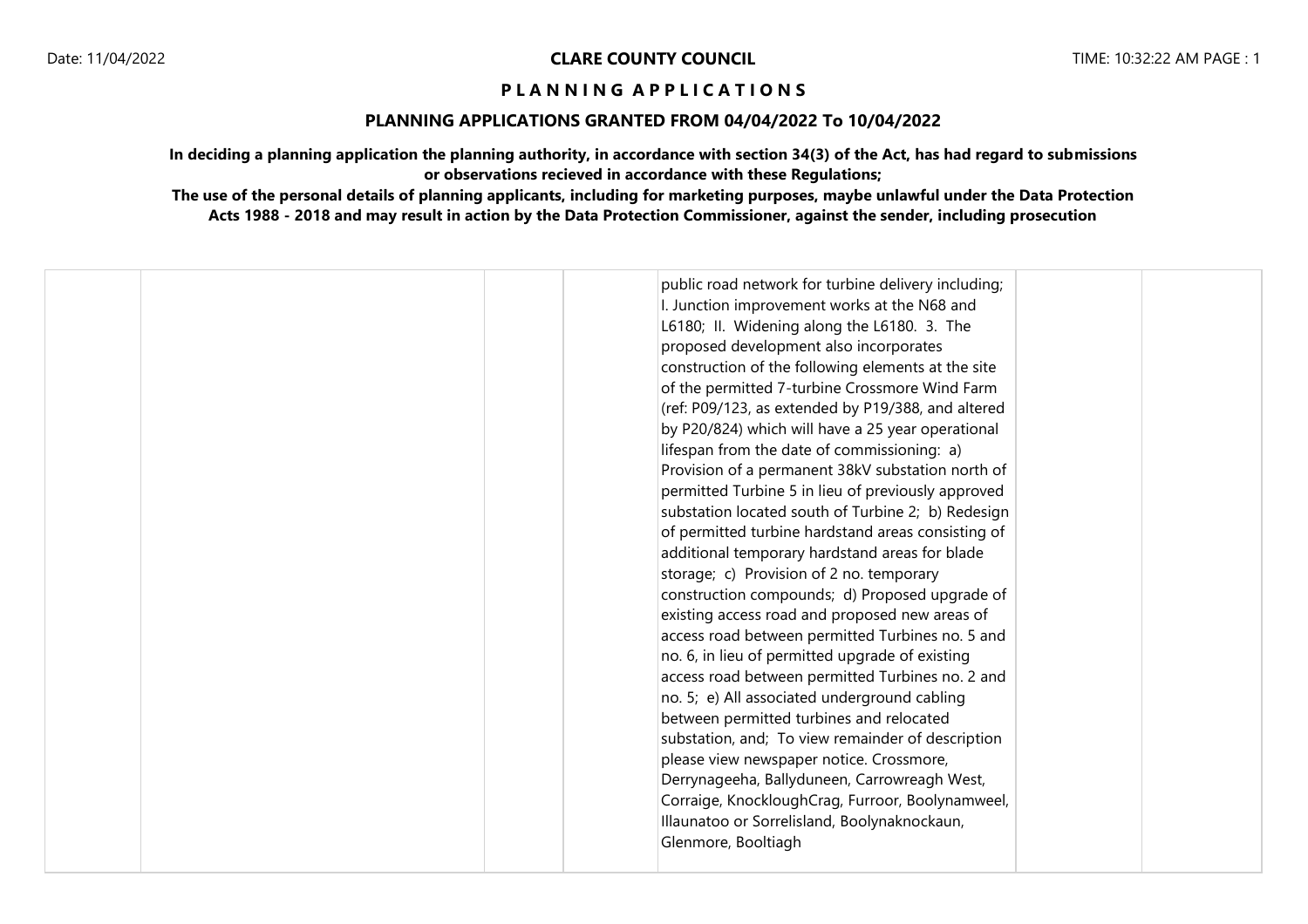# **PLANNING APPLICATIONS GRANTED FROM 04/04/2022 To 10/04/2022**

**In deciding a planning application the planning authority, in accordance with section 34(3) of the Act, has had regard to submissions or observations recieved in accordance with these Regulations;**

| public road network for turbine delivery including;<br>I. Junction improvement works at the N68 and<br>L6180; II. Widening along the L6180. 3. The<br>proposed development also incorporates<br>construction of the following elements at the site<br>of the permitted 7-turbine Crossmore Wind Farm<br>(ref: P09/123, as extended by P19/388, and altered<br>by P20/824) which will have a 25 year operational<br>lifespan from the date of commissioning: a)<br>Provision of a permanent 38kV substation north of<br>permitted Turbine 5 in lieu of previously approved |
|---------------------------------------------------------------------------------------------------------------------------------------------------------------------------------------------------------------------------------------------------------------------------------------------------------------------------------------------------------------------------------------------------------------------------------------------------------------------------------------------------------------------------------------------------------------------------|
| substation located south of Turbine 2; b) Redesign<br>of permitted turbine hardstand areas consisting of<br>additional temporary hardstand areas for blade                                                                                                                                                                                                                                                                                                                                                                                                                |
| storage; c) Provision of 2 no. temporary<br>construction compounds; d) Proposed upgrade of<br>existing access road and proposed new areas of                                                                                                                                                                                                                                                                                                                                                                                                                              |
| access road between permitted Turbines no. 5 and<br>no. 6, in lieu of permitted upgrade of existing<br>access road between permitted Turbines no. 2 and                                                                                                                                                                                                                                                                                                                                                                                                                   |
| no. 5; e) All associated underground cabling<br>between permitted turbines and relocated<br>substation, and; To view remainder of description                                                                                                                                                                                                                                                                                                                                                                                                                             |
| please view newspaper notice. Crossmore,<br>Derrynageeha, Ballyduneen, Carrowreagh West,<br>Corraige, KnockloughCrag, Furroor, Boolynamweel,                                                                                                                                                                                                                                                                                                                                                                                                                              |
| Illaunatoo or Sorrelisland, Boolynaknockaun,<br>Glenmore, Booltiagh                                                                                                                                                                                                                                                                                                                                                                                                                                                                                                       |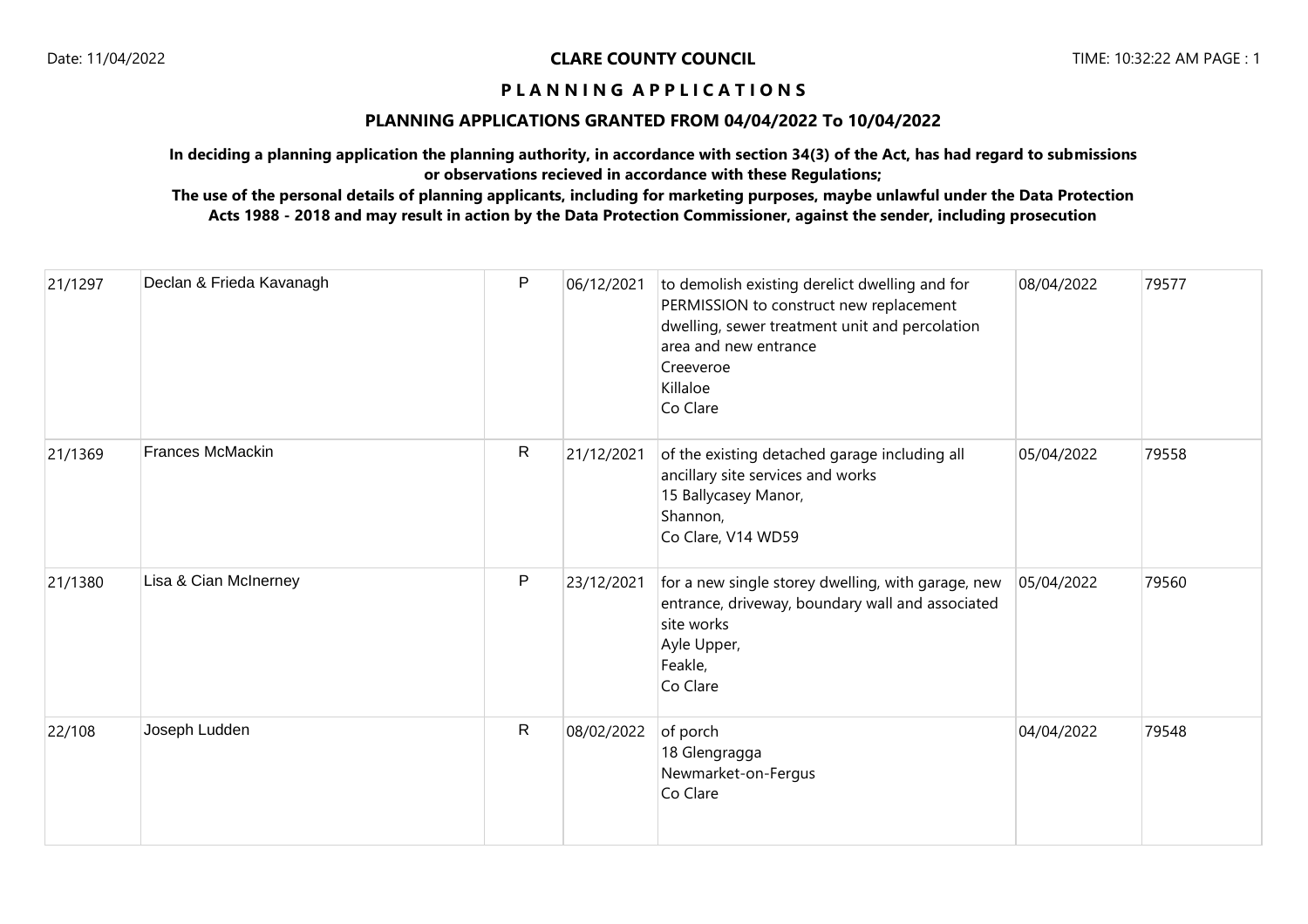## **PLANNING APPLICATIONS GRANTED FROM 04/04/2022 To 10/04/2022**

**In deciding a planning application the planning authority, in accordance with section 34(3) of the Act, has had regard to submissions or observations recieved in accordance with these Regulations;**

| 21/1297 | Declan & Frieda Kavanagh | $\mathsf{P}$ | 06/12/2021 | to demolish existing derelict dwelling and for<br>PERMISSION to construct new replacement<br>dwelling, sewer treatment unit and percolation<br>area and new entrance<br>Creeveroe<br>Killaloe<br>Co Clare | 08/04/2022 | 79577 |
|---------|--------------------------|--------------|------------|-----------------------------------------------------------------------------------------------------------------------------------------------------------------------------------------------------------|------------|-------|
| 21/1369 | <b>Frances McMackin</b>  | R            | 21/12/2021 | of the existing detached garage including all<br>ancillary site services and works<br>15 Ballycasey Manor,<br>Shannon,<br>Co Clare, V14 WD59                                                              | 05/04/2022 | 79558 |
| 21/1380 | Lisa & Cian McInerney    | P            | 23/12/2021 | for a new single storey dwelling, with garage, new<br>entrance, driveway, boundary wall and associated<br>site works<br>Ayle Upper,<br>Feakle,<br>Co Clare                                                | 05/04/2022 | 79560 |
| 22/108  | Joseph Ludden            | R            | 08/02/2022 | of porch<br>18 Glengragga<br>Newmarket-on-Fergus<br>Co Clare                                                                                                                                              | 04/04/2022 | 79548 |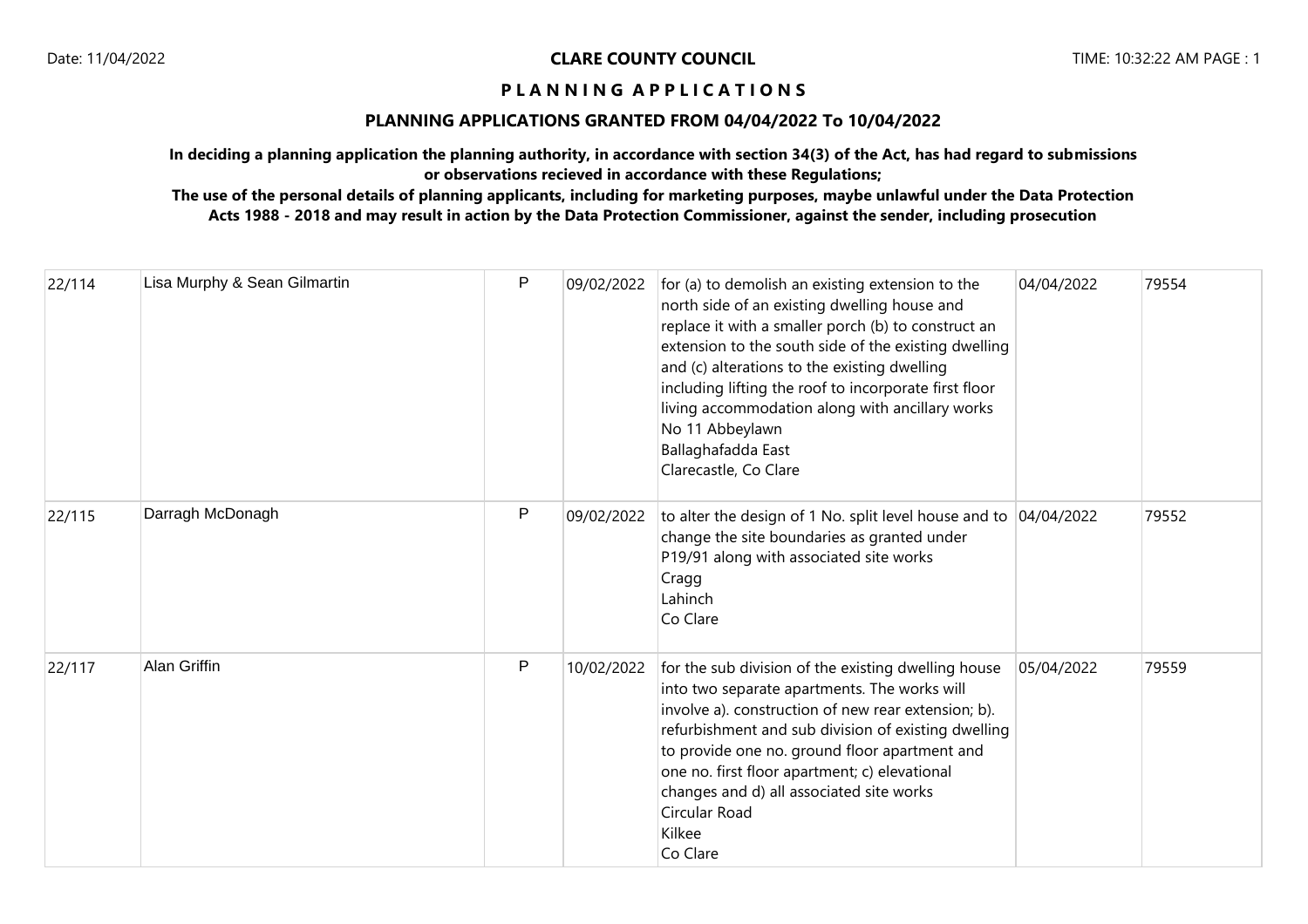#### **PLANNING APPLICATIONS GRANTED FROM 04/04/2022 To 10/04/2022**

**In deciding a planning application the planning authority, in accordance with section 34(3) of the Act, has had regard to submissions or observations recieved in accordance with these Regulations;**

| 22/114 | Lisa Murphy & Sean Gilmartin | $\mathsf{P}$ | 09/02/2022 | for (a) to demolish an existing extension to the<br>north side of an existing dwelling house and<br>replace it with a smaller porch (b) to construct an<br>extension to the south side of the existing dwelling<br>and (c) alterations to the existing dwelling<br>including lifting the roof to incorporate first floor<br>living accommodation along with ancillary works<br>No 11 Abbeylawn<br>Ballaghafadda East<br>Clarecastle, Co Clare | 04/04/2022 | 79554 |
|--------|------------------------------|--------------|------------|-----------------------------------------------------------------------------------------------------------------------------------------------------------------------------------------------------------------------------------------------------------------------------------------------------------------------------------------------------------------------------------------------------------------------------------------------|------------|-------|
| 22/115 | Darragh McDonagh             | P            | 09/02/2022 | to alter the design of 1 No. split level house and to 04/04/2022<br>change the site boundaries as granted under<br>P19/91 along with associated site works<br>Cragg<br>Lahinch<br>Co Clare                                                                                                                                                                                                                                                    |            | 79552 |
| 22/117 | <b>Alan Griffin</b>          | P            | 10/02/2022 | for the sub division of the existing dwelling house<br>into two separate apartments. The works will<br>involve a). construction of new rear extension; b).<br>refurbishment and sub division of existing dwelling<br>to provide one no. ground floor apartment and<br>one no. first floor apartment; c) elevational<br>changes and d) all associated site works<br>Circular Road<br>Kilkee<br>Co Clare                                        | 05/04/2022 | 79559 |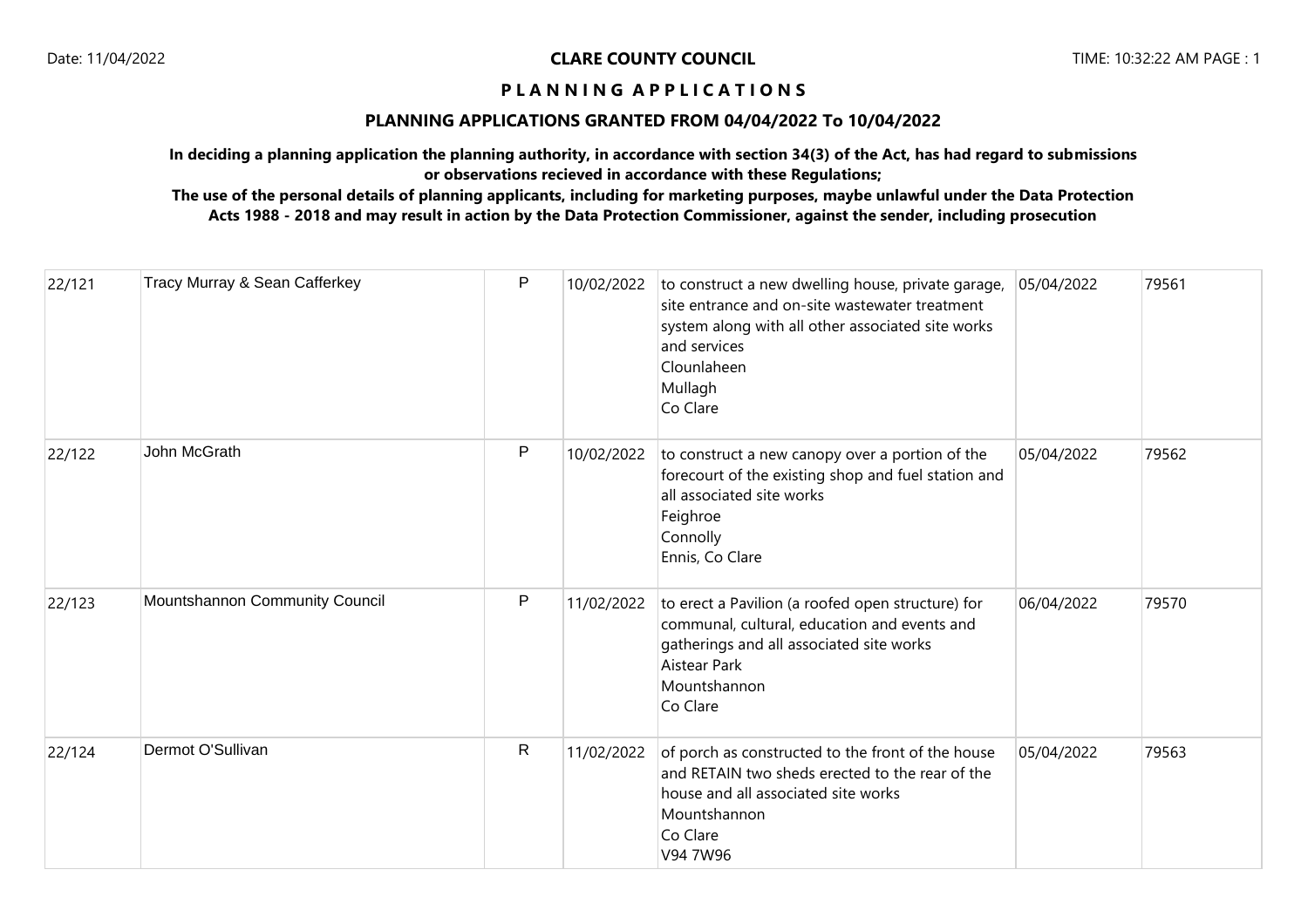# **PLANNING APPLICATIONS GRANTED FROM 04/04/2022 To 10/04/2022**

**In deciding a planning application the planning authority, in accordance with section 34(3) of the Act, has had regard to submissions or observations recieved in accordance with these Regulations;**

| 22/121 | Tracy Murray & Sean Cafferkey  | P            | 10/02/2022 | to construct a new dwelling house, private garage,<br>site entrance and on-site wastewater treatment<br>system along with all other associated site works<br>and services<br>Clounlaheen<br>Mullagh<br>Co Clare | 05/04/2022 | 79561 |
|--------|--------------------------------|--------------|------------|-----------------------------------------------------------------------------------------------------------------------------------------------------------------------------------------------------------------|------------|-------|
| 22/122 | John McGrath                   | $\mathsf{P}$ | 10/02/2022 | to construct a new canopy over a portion of the<br>forecourt of the existing shop and fuel station and<br>all associated site works<br>Feighroe<br>Connolly<br>Ennis, Co Clare                                  | 05/04/2022 | 79562 |
| 22/123 | Mountshannon Community Council | $\mathsf{P}$ | 11/02/2022 | to erect a Pavilion (a roofed open structure) for<br>communal, cultural, education and events and<br>gatherings and all associated site works<br>Aistear Park<br>Mountshannon<br>Co Clare                       | 06/04/2022 | 79570 |
| 22/124 | Dermot O'Sullivan              | $\mathsf{R}$ | 11/02/2022 | of porch as constructed to the front of the house<br>and RETAIN two sheds erected to the rear of the<br>house and all associated site works<br>Mountshannon<br>Co Clare<br>V94 7W96                             | 05/04/2022 | 79563 |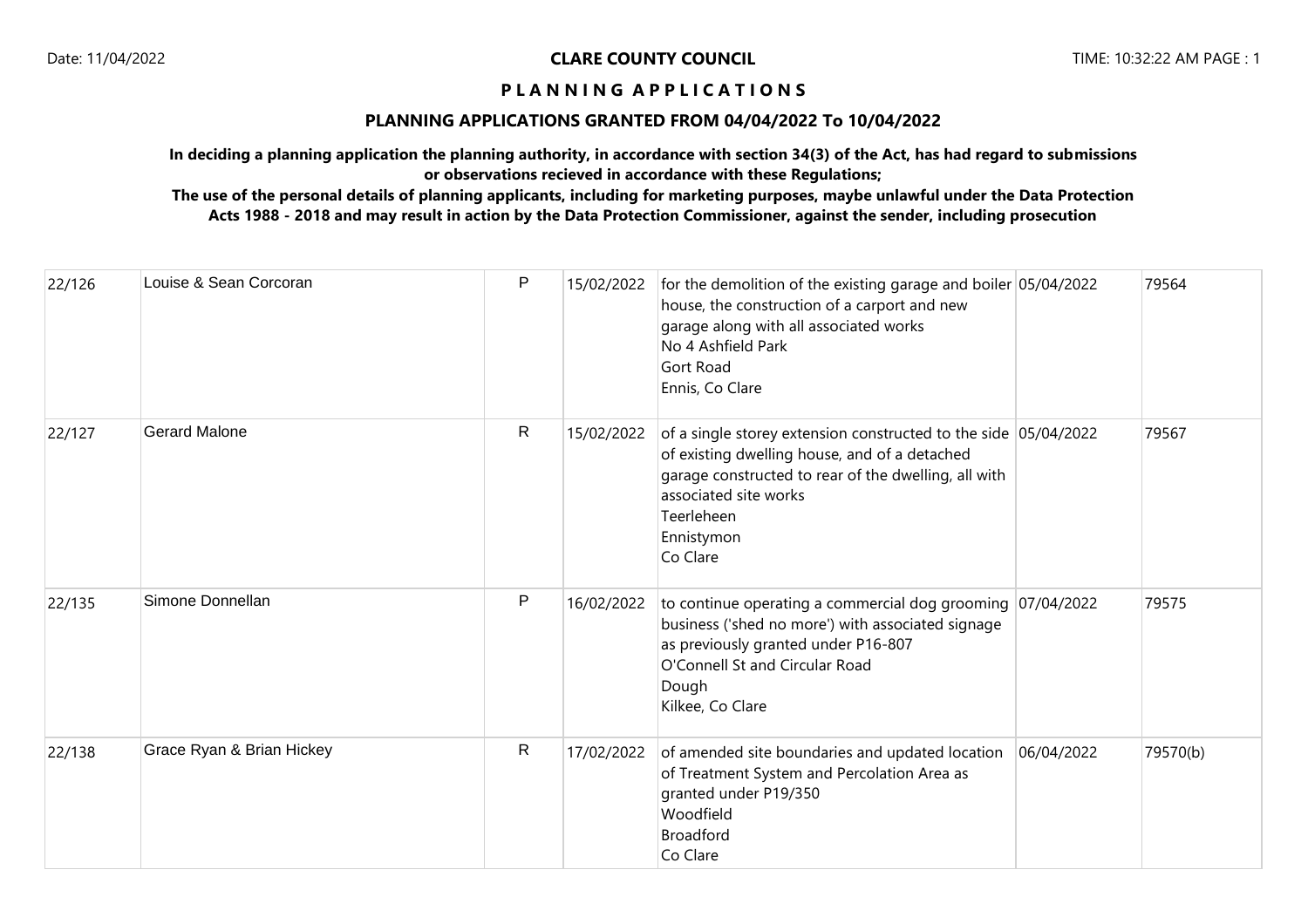# **PLANNING APPLICATIONS GRANTED FROM 04/04/2022 To 10/04/2022**

**In deciding a planning application the planning authority, in accordance with section 34(3) of the Act, has had regard to submissions or observations recieved in accordance with these Regulations;**

| 22/126 | Louise & Sean Corcoran    | P | 15/02/2022 | for the demolition of the existing garage and boiler 05/04/2022<br>house, the construction of a carport and new<br>garage along with all associated works<br>No 4 Ashfield Park<br>Gort Road<br>Ennis, Co Clare                           |            | 79564    |
|--------|---------------------------|---|------------|-------------------------------------------------------------------------------------------------------------------------------------------------------------------------------------------------------------------------------------------|------------|----------|
| 22/127 | <b>Gerard Malone</b>      | R | 15/02/2022 | of a single storey extension constructed to the side 05/04/2022<br>of existing dwelling house, and of a detached<br>garage constructed to rear of the dwelling, all with<br>associated site works<br>Teerleheen<br>Ennistymon<br>Co Clare |            | 79567    |
| 22/135 | Simone Donnellan          | P | 16/02/2022 | to continue operating a commercial dog grooming $07/04/2022$<br>business ('shed no more') with associated signage<br>as previously granted under P16-807<br>O'Connell St and Circular Road<br>Dough<br>Kilkee, Co Clare                   |            | 79575    |
| 22/138 | Grace Ryan & Brian Hickey | R | 17/02/2022 | of amended site boundaries and updated location<br>of Treatment System and Percolation Area as<br>granted under P19/350<br>Woodfield<br><b>Broadford</b><br>Co Clare                                                                      | 06/04/2022 | 79570(b) |